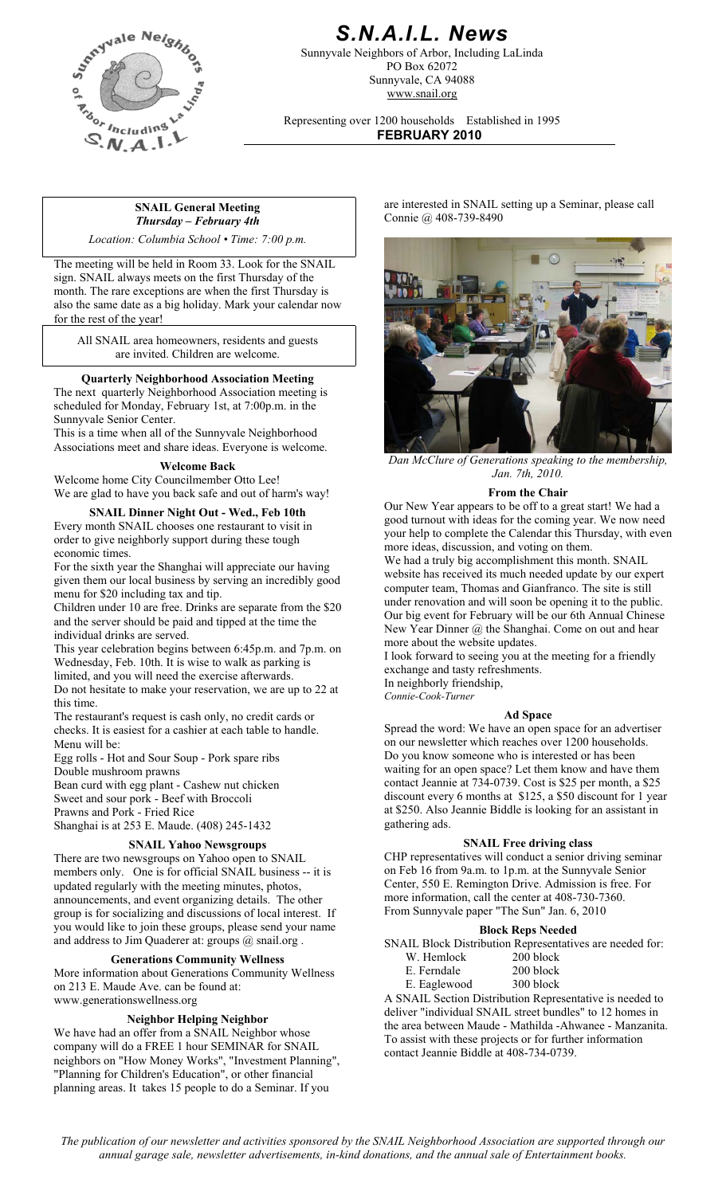

## *S.N.A.I.L. News*

Sunnyvale Neighbors of Arbor, Including LaLinda PO Box 62072 Sunnyvale, CA 94088 www.snail.org

Representing over 1200 households Established in 1995 **FEBRUARY 2010**

### **SNAIL General Meeting**  *Thursday – February 4th*

*Location: Columbia School • Time: 7:00 p.m.* 

The meeting will be held in Room 33. Look for the SNAIL sign. SNAIL always meets on the first Thursday of the month. The rare exceptions are when the first Thursday is also the same date as a big holiday. Mark your calendar now for the rest of the year!

All SNAIL area homeowners, residents and guests are invited. Children are welcome.

### **Quarterly Neighborhood Association Meeting**

The next quarterly Neighborhood Association meeting is scheduled for Monday, February 1st, at 7:00p.m. in the Sunnyvale Senior Center.

This is a time when all of the Sunnyvale Neighborhood Associations meet and share ideas. Everyone is welcome.

### **Welcome Back**

Welcome home City Councilmember Otto Lee! We are glad to have you back safe and out of harm's way!

### **SNAIL Dinner Night Out - Wed., Feb 10th**

Every month SNAIL chooses one restaurant to visit in order to give neighborly support during these tough economic times.

For the sixth year the Shanghai will appreciate our having given them our local business by serving an incredibly good menu for \$20 including tax and tip.

Children under 10 are free. Drinks are separate from the \$20 and the server should be paid and tipped at the time the individual drinks are served.

This year celebration begins between 6:45p.m. and 7p.m. on Wednesday, Feb. 10th. It is wise to walk as parking is limited, and you will need the exercise afterwards.

Do not hesitate to make your reservation, we are up to 22 at this time.

The restaurant's request is cash only, no credit cards or checks. It is easiest for a cashier at each table to handle. Menu will be:

Egg rolls - Hot and Sour Soup - Pork spare ribs Double mushroom prawns

Bean curd with egg plant - Cashew nut chicken Sweet and sour pork - Beef with Broccoli Prawns and Pork - Fried Rice

Shanghai is at 253 E. Maude. (408) 245-1432

### **SNAIL Yahoo Newsgroups**

There are two newsgroups on Yahoo open to SNAIL members only. One is for official SNAIL business -- it is updated regularly with the meeting minutes, photos, announcements, and event organizing details. The other group is for socializing and discussions of local interest. If you would like to join these groups, please send your name and address to Jim Quaderer at: groups @ snail.org .

### **Generations Community Wellness**

More information about Generations Community Wellness on 213 E. Maude Ave. can be found at: www.generationswellness.org

### **Neighbor Helping Neighbor**

We have had an offer from a SNAIL Neighbor whose company will do a FREE 1 hour SEMINAR for SNAIL neighbors on "How Money Works", "Investment Planning", "Planning for Children's Education", or other financial planning areas. It takes 15 people to do a Seminar. If you

are interested in SNAIL setting up a Seminar, please call Connie @ 408-739-8490



*Dan McClure of Generations speaking to the membership, Jan. 7th, 2010.* 

### **From the Chair**

Our New Year appears to be off to a great start! We had a good turnout with ideas for the coming year. We now need your help to complete the Calendar this Thursday, with even more ideas, discussion, and voting on them.

We had a truly big accomplishment this month. SNAIL website has received its much needed update by our expert computer team, Thomas and Gianfranco. The site is still under renovation and will soon be opening it to the public. Our big event for February will be our 6th Annual Chinese New Year Dinner @ the Shanghai. Come on out and hear more about the website updates.

I look forward to seeing you at the meeting for a friendly exchange and tasty refreshments.

In neighborly friendship, *Connie-Cook-Turner*

**Ad Space** Spread the word: We have an open space for an advertiser on our newsletter which reaches over 1200 households. Do you know someone who is interested or has been waiting for an open space? Let them know and have them contact Jeannie at 734-0739. Cost is \$25 per month, a \$25 discount every 6 months at \$125, a \$50 discount for 1 year at \$250. Also Jeannie Biddle is looking for an assistant in gathering ads.

### **SNAIL Free driving class**

CHP representatives will conduct a senior driving seminar on Feb 16 from 9a.m. to 1p.m. at the Sunnyvale Senior Center, 550 E. Remington Drive. Admission is free. For more information, call the center at 408-730-7360. From Sunnyvale paper "The Sun" Jan. 6, 2010

### **Block Reps Needed**

SNAIL Block Distribution Representatives are needed for:

| W. Hemlock    | $200$ block  |
|---------------|--------------|
| E. Ferndale   | 200 block    |
| E. Esslavas d | $200 L1 - 1$ |

E. Eaglewood 300 block A SNAIL Section Distribution Representative is needed to deliver "individual SNAIL street bundles" to 12 homes in the area between Maude - Mathilda -Ahwanee - Manzanita. To assist with these projects or for further information contact Jeannie Biddle at 408-734-0739.